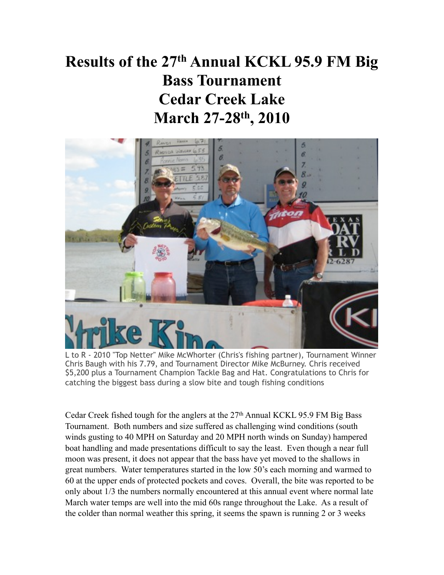## Results of the 27th Annual KCKL 95.9 FM Big Bass Tournament Cedar Creek Lake March 27-28th, 2010



L to R - 2010 "Top Netter" Mike McWhorter (Chris's fishing partner), Tournament Winner Chris Baugh with his 7.79, and Tournament Director Mike McBurney. Chris received \$5,200 plus a Tournament Champion Tackle Bag and Hat. Congratulations to Chris for catching the biggest bass during a slow bite and tough fishing conditions

Cedar Creek fished tough for the anglers at the  $27<sup>th</sup>$  Annual KCKL 95.9 FM Big Bass Tournament. Both numbers and size suffered as challenging wind conditions (south winds gusting to 40 MPH on Saturday and 20 MPH north winds on Sunday) hampered boat handling and made presentations difficult to say the least. Even though a near full moon was present, it does not appear that the bass have yet moved to the shallows in great numbers. Water temperatures started in the low 50's each morning and warmed to 60 at the upper ends of protected pockets and coves. Overall, the bite was reported to be only about 1/3 the numbers normally encountered at this annual event where normal late March water temps are well into the mid 60s range throughout the Lake. As a result of the colder than normal weather this spring, it seems the spawn is running 2 or 3 weeks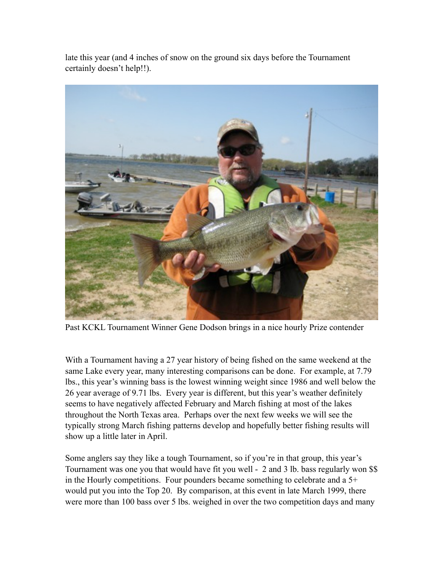late this year (and 4 inches of snow on the ground six days before the Tournament certainly doesn't help!!).



Past KCKL Tournament Winner Gene Dodson brings in a nice hourly Prize contender

With a Tournament having a 27 year history of being fished on the same weekend at the same Lake every year, many interesting comparisons can be done. For example, at 7.79 lbs., this year's winning bass is the lowest winning weight since 1986 and well below the 26 year average of 9.71 lbs. Every year is different, but this year's weather definitely seems to have negatively affected February and March fishing at most of the lakes throughout the North Texas area. Perhaps over the next few weeks we will see the typically strong March fishing patterns develop and hopefully better fishing results will show up a little later in April.

Some anglers say they like a tough Tournament, so if you're in that group, this year's Tournament was one you that would have fit you well - 2 and 3 lb. bass regularly won \$\$ in the Hourly competitions. Four pounders became something to celebrate and a 5+ would put you into the Top 20. By comparison, at this event in late March 1999, there were more than 100 bass over 5 lbs. weighed in over the two competition days and many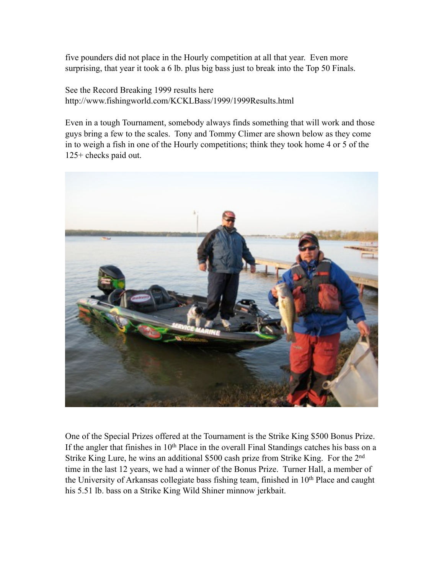five pounders did not place in the Hourly competition at all that year. Even more surprising, that year it took a 6 lb. plus big bass just to break into the Top 50 Finals.

See the Record Breaking 1999 results here http://www.fishingworld.com/KCKLBass/1999/1999Results.html

Even in a tough Tournament, somebody always finds something that will work and those guys bring a few to the scales. Tony and Tommy Climer are shown below as they come in to weigh a fish in one of the Hourly competitions; think they took home 4 or 5 of the 125+ checks paid out.



One of the Special Prizes offered at the Tournament is the Strike King \$500 Bonus Prize. If the angler that finishes in 10<sup>th</sup> Place in the overall Final Standings catches his bass on a Strike King Lure, he wins an additional \$500 cash prize from Strike King. For the 2nd time in the last 12 years, we had a winner of the Bonus Prize. Turner Hall, a member of the University of Arkansas collegiate bass fishing team, finished in 10<sup>th</sup> Place and caught his 5.51 lb. bass on a Strike King Wild Shiner minnow jerkbait.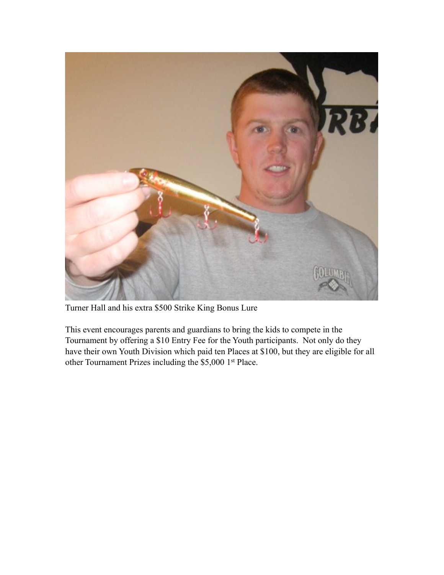

Turner Hall and his extra \$500 Strike King Bonus Lure

This event encourages parents and guardians to bring the kids to compete in the Tournament by offering a \$10 Entry Fee for the Youth participants. Not only do they have their own Youth Division which paid ten Places at \$100, but they are eligible for all other Tournament Prizes including the \$5,000 1st Place.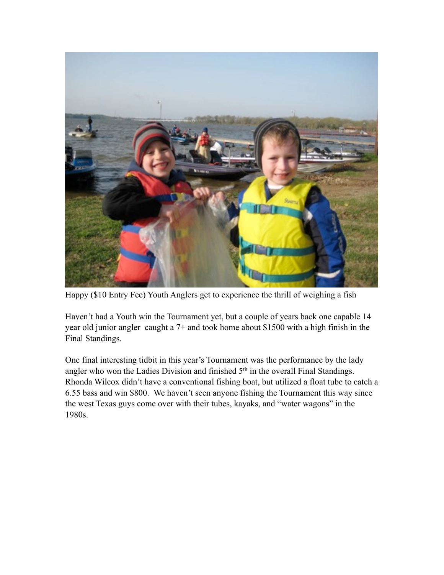

Happy (\$10 Entry Fee) Youth Anglers get to experience the thrill of weighing a fish

Haven't had a Youth win the Tournament yet, but a couple of years back one capable 14 year old junior angler caught a 7+ and took home about \$1500 with a high finish in the Final Standings.

One final interesting tidbit in this year's Tournament was the performance by the lady angler who won the Ladies Division and finished 5th in the overall Final Standings. Rhonda Wilcox didn't have a conventional fishing boat, but utilized a float tube to catch a 6.55 bass and win \$800. We haven't seen anyone fishing the Tournament this way since the west Texas guys come over with their tubes, kayaks, and "water wagons" in the 1980s.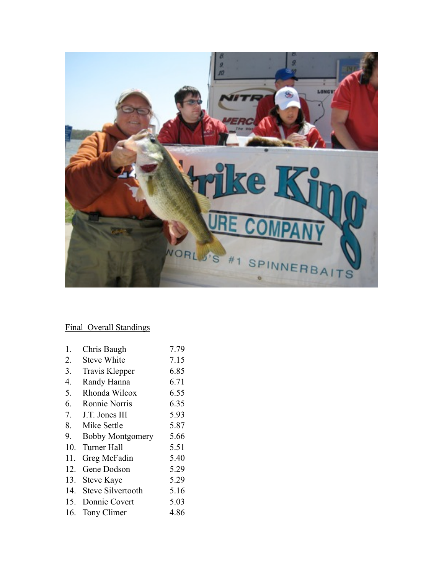

## Final Overall Standings

| Chris Baugh              | 7.79 |
|--------------------------|------|
| <b>Steve White</b>       | 7.15 |
| Travis Klepper           | 6.85 |
| Randy Hanna              | 6.71 |
| Rhonda Wilcox            | 6.55 |
| Ronnie Norris            | 6.35 |
| J.T. Jones III           | 5.93 |
| Mike Settle              | 5.87 |
| <b>Bobby Montgomery</b>  | 5.66 |
| Turner Hall              | 5.51 |
| Greg McFadin             | 5.40 |
| Gene Dodson              | 5.29 |
| <b>Steve Kaye</b>        | 5.29 |
| <b>Steve Silvertooth</b> | 5.16 |
| 15.<br>Donnie Covert     | 5.03 |
| Tony Climer              | 4.86 |
|                          |      |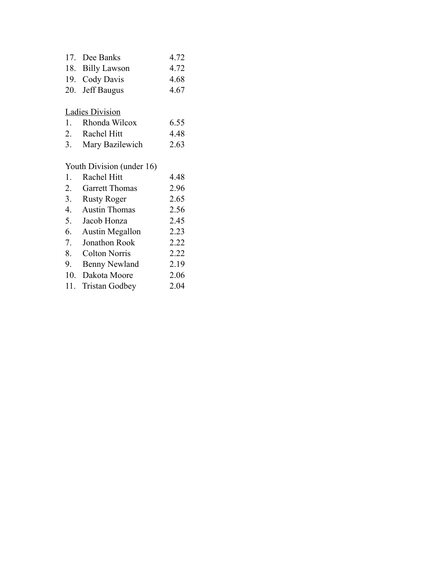| 17. Dee Banks    | 4.72 |
|------------------|------|
| 18. Billy Lawson | 4.72 |
| 19. Cody Davis   | 4.68 |
| 20. Jeff Baugus  | 4.67 |
|                  |      |

## Ladies Division

| 1. Rhonda Wilcox | 6.55 |
|------------------|------|
| 2. Rachel Hitt   | 4.48 |
|                  |      |

3. Mary Bazilewich 2.63

## Youth Division (under 16)

| 1.  | Rachel Hitt           | 4.48 |
|-----|-----------------------|------|
| 2.  | <b>Garrett Thomas</b> | 2.96 |
| 3.  | <b>Rusty Roger</b>    | 2.65 |
| 4.  | <b>Austin Thomas</b>  | 2.56 |
| 5.  | Jacob Honza           | 2.45 |
| 6.  | Austin Megallon       | 2.23 |
| 7.  | Jonathon Rook         | 2.22 |
| 8.  | <b>Colton Norris</b>  | 2.22 |
| 9.  | <b>Benny Newland</b>  | 2.19 |
| 10. | Dakota Moore          | 2.06 |
|     | 11. Tristan Godbey    | 2.04 |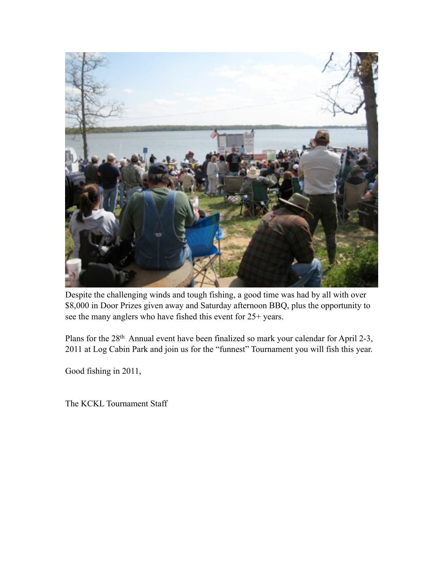

Despite the challenging winds and tough fishing, a good time was had by all with over \$8,000 in Door Prizes given away and Saturday afternoon BBQ, plus the opportunity to see the many anglers who have fished this event for 25+ years.

Plans for the 28th Annual event have been finalized so mark your calendar for April 2-3, 2011 at Log Cabin Park and join us for the "funnest" Tournament you will fish this year.

Good fishing in 2011,

The KCKL Tournament Staff